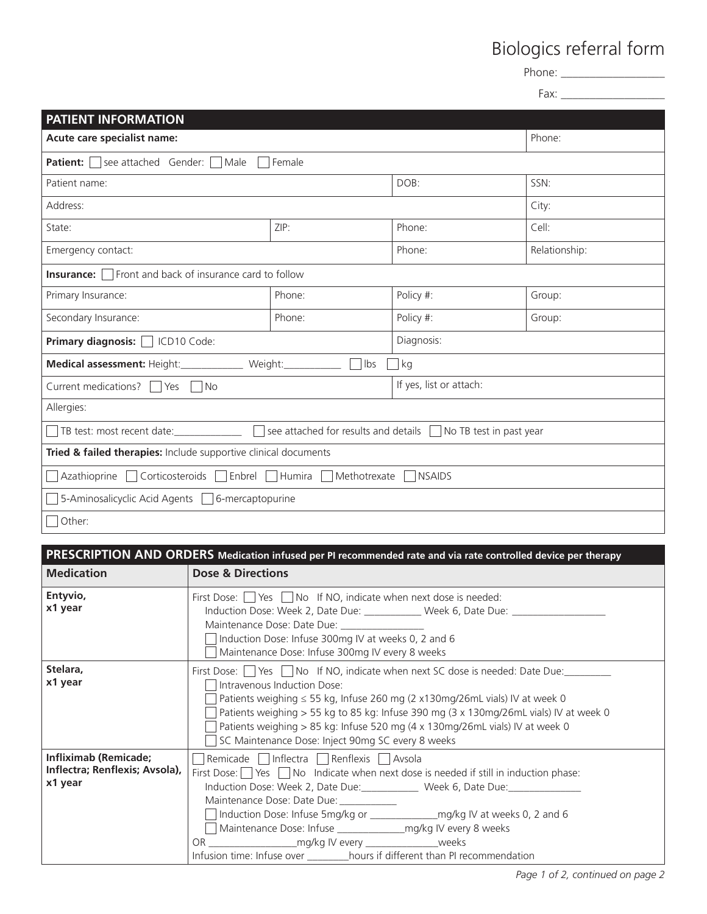## Biologics referral form

Phone: \_\_\_\_\_\_\_\_\_\_\_\_\_\_\_\_\_\_

Fax: \_\_\_\_\_\_\_\_\_\_\_\_\_\_\_\_\_\_

| <b>PATIENT INFORMATION</b>                                                                                             |                     |                         |               |  |  |  |
|------------------------------------------------------------------------------------------------------------------------|---------------------|-------------------------|---------------|--|--|--|
| Acute care specialist name:                                                                                            |                     |                         | Phone:        |  |  |  |
| <b>Patient:</b> $\Box$ see attached Gender: $\Box$ Male<br>Female                                                      |                     |                         |               |  |  |  |
| Patient name:                                                                                                          |                     | DOB:                    | SSN:          |  |  |  |
| Address:                                                                                                               |                     |                         | City:         |  |  |  |
| State:                                                                                                                 | ZIP:                | Phone:                  | Cell:         |  |  |  |
| Emergency contact:                                                                                                     |                     | Phone:                  | Relationship: |  |  |  |
| <b>Insurance:</b> $\Box$ Front and back of insurance card to follow                                                    |                     |                         |               |  |  |  |
| Primary Insurance:                                                                                                     | Phone:              | Policy #:               | Group:        |  |  |  |
| Secondary Insurance:                                                                                                   | Phone:              | Policy #:               | Group:        |  |  |  |
| Primary diagnosis: C ICD10 Code:                                                                                       |                     | Diagnosis:              |               |  |  |  |
| Medical assessment: Height:______________ Weight:_____________                                                         | Ibs<br>$\mathbf{L}$ | kg                      |               |  |  |  |
| Current medications? $\Box$ Yes $\Box$ No                                                                              |                     | If yes, list or attach: |               |  |  |  |
| Allergies:                                                                                                             |                     |                         |               |  |  |  |
| $\Box$ see attached for results and details $\Box$ No TB test in past year<br>TB test: most recent date: _____________ |                     |                         |               |  |  |  |
| Tried & failed therapies: Include supportive clinical documents                                                        |                     |                         |               |  |  |  |
| ] Azathioprine □ Corticosteroids □ Enbrel □ Humira □ Methotrexate<br><b>NSAIDS</b>                                     |                     |                         |               |  |  |  |
| 5-Aminosalicyclic Acid Agents □ 6-mercaptopurine                                                                       |                     |                         |               |  |  |  |
| Other:                                                                                                                 |                     |                         |               |  |  |  |

| PRESCRIPTION AND ORDERS Medication infused per PI recommended rate and via rate controlled device per therapy |                                                                                                                                                                                                                                                                                                                                                                                                                                                                                                                        |  |  |  |  |
|---------------------------------------------------------------------------------------------------------------|------------------------------------------------------------------------------------------------------------------------------------------------------------------------------------------------------------------------------------------------------------------------------------------------------------------------------------------------------------------------------------------------------------------------------------------------------------------------------------------------------------------------|--|--|--|--|
| <b>Medication</b>                                                                                             | <b>Dose &amp; Directions</b>                                                                                                                                                                                                                                                                                                                                                                                                                                                                                           |  |  |  |  |
| Entyvio,<br>x1 year                                                                                           | First Dose: $\Box$ Yes $\Box$ No If NO, indicate when next dose is needed:<br>Induction Dose: Week 2, Date Due: ____________ Week 6, Date Due: _______________<br>Maintenance Dose: Date Due: ______________<br>Induction Dose: Infuse 300mg IV at weeks 0, 2 and 6<br>Maintenance Dose: Infuse 300mg IV every 8 weeks                                                                                                                                                                                                 |  |  |  |  |
| Stelara,<br>x1 year                                                                                           | First Dose: Yes No If NO, indicate when next SC dose is needed: Date Due:<br>Intravenous Induction Dose:<br>Patients weighing ≤ 55 kg, Infuse 260 mg (2 x130mg/26mL vials) IV at week 0<br>Patients weighing > 55 kg to 85 kg: Infuse 390 mg (3 x 130mg/26mL vials) IV at week 0<br>Patients weighing > 85 kg: Infuse 520 mg (4 x 130mg/26mL vials) IV at week 0<br>SC Maintenance Dose: Inject 90mg SC every 8 weeks                                                                                                  |  |  |  |  |
| Infliximab (Remicade;<br>Inflectra; Renflexis; Avsola),<br>x1 year                                            | Remicade   Inflectra   Renflexis   Avsola<br>First Dose: $\Box$ Yes $\Box$ No Indicate when next dose is needed if still in induction phase:<br>Induction Dose: Week 2, Date Due: _____________ Week 6, Date Due: ______________<br>Maintenance Dose: Date Due: __________<br>Induction Dose: Infuse 5mg/kg or ________________mg/kg IV at weeks 0, 2 and 6<br>OR _________________________mg/kg IV every _______________________weeks<br>Infusion time: Infuse over ________hours if different than PI recommendation |  |  |  |  |

*Page 1 of 2, continued on page 2*